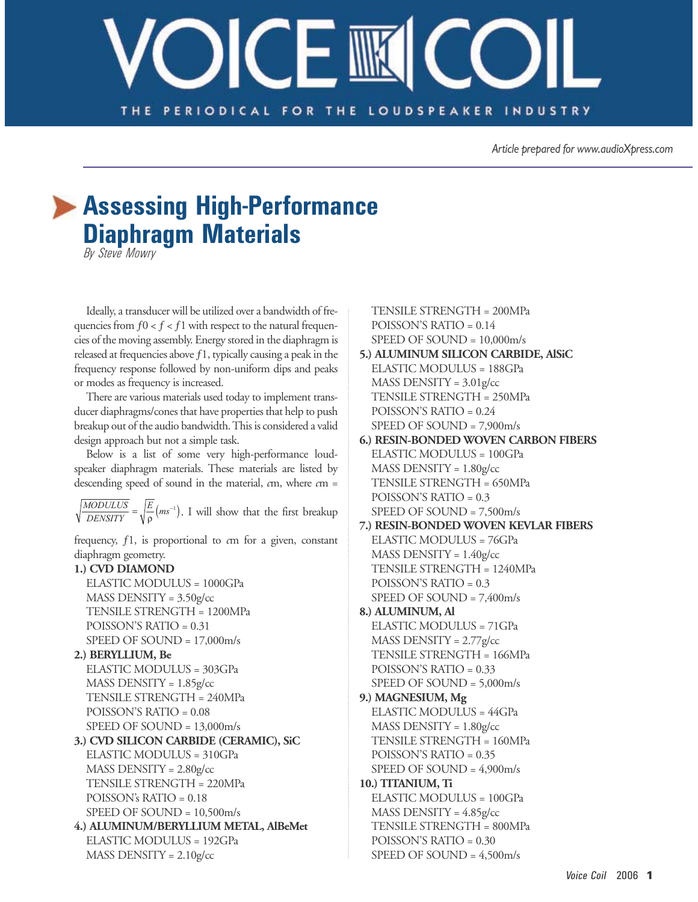## $\bigcirc$  – IIIK THE PERIODICAL FOR THE LOUDSPEAKER INDUSTRY

Article prepared for www.audioXpress.com

## Assessing High-Performance **Diaphragm Materials**

By Steve Mowry

Ideally, a transducer will be utilized over a bandwidth of frequencies from  $f0 < f < f1$  with respect to the natural frequencies of the moving assembly. Energy stored in the diaphragm is released at frequencies above  $f1$ , typically causing a peak in the frequency response followed by non-uniform dips and peaks or modes as frequency is increased.

There are various materials used today to implement transducer diaphragms/cones that have properties that help to push breakup out of the audio bandwidth. This is considered a valid design approach but not a simple task.

Below is a list of some very high-performance loudspeaker diaphragm materials. These materials are listed by descending speed of sound in the material,  $cm$ , where  $cm =$ 

 $\sqrt{\frac{MODULUS}{DENSITY}} = \sqrt{\frac{E}{\rho}}$  (*ms*<sup>-1</sup>). I will show that the first breakup

frequency,  $f1$ , is proportional to  $c$ m for a given, constant diaphragm geometry.

## 1.) CVD DIAMOND

ELASTIC MODULUS = 1000GPa  $MASS$  DENSITY =  $3.50$ g/cc TENSILE STRENGTH = 1200MPa POISSON'S RATIO =  $0.31$ SPEED OF SOUND =  $17,000$ m/s

2.) BERYLLIUM, Be

ELASTIC MODULUS = 303GPa  $MASS$  DENSITY =  $1.85$ g/cc TENSILE STRENGTH = 240MPa POISSON'S RATIO =  $0.08$ SPEED OF SOUND =  $13,000$ m/s

## 3.) CVD SILICON CARBIDE (CERAMIC), SiC ELASTIC MODULUS = 310GPa  $MASS$  DENSITY =  $2.80$ g/cc TENSILE STRENGTH = 220MPa POISSON's RATIO =  $0.18$ SPEED OF SOUND =  $10,500$ m/s 4.) ALUMINUM/BERYLLIUM METAL, AlBeMet

**ELASTIC MODULUS = 192GPa**  $MASS$  DENSITY =  $2.10$ g/cc

TENSILE STRENGTH = 200MPa POISSON'S RATIO =  $0.14$ SPEED OF SOUND =  $10,000$ m/s

5.) ALUMINUM SILICON CARBIDE, AlSiC ELASTIC MODULUS = 188GPa MASS DENSITY =  $3.01$ g/cc TENSILE STRENGTH = 250MPa POISSON'S RATIO =  $0.24$ SPEED OF SOUND =  $7,900$ m/s

6.) RESIN-BONDED WOVEN CARBON FIBERS **ELASTIC MODULUS = 100GPa**  $MASS$  DENSITY =  $1.80g$ /cc TENSILE STRENGTH = 650MPa POISSON'S RATIO =  $0.3$ SPEED OF SOUND =  $7,500$ m/s 7.) RESIN-BONDED WOVEN KEVLAR FIBERS

**ELASTIC MODULUS = 76GPa**  $MASS$  DENSITY =  $1.40$ g/cc TENSILE STRENGTH = 1240MPa POISSON'S RATIO = 0.3 SPEED OF SOUND =  $7,400$ m/s

8.) ALUMINUM, Al ELASTIC MODULUS = 71GPa  $MASS$  DENSITY = 2.77g/cc TENSILE STRENGTH = 166MPa POISSON'S RATIO = 0.33 SPEED OF SOUND =  $5,000$ m/s

9.) MAGNESIUM, Mg ELASTIC MODULUS = 44GPa  $MASS$  DENSITY =  $1.80$ g/cc TENSILE STRENGTH = 160MPa POISSON'S RATIO =  $0.35$ SPEED OF SOUND =  $4,900$ m/s

10.) TITANIUM, Ti ELASTIC MODULUS = 100GPa  $MASS$  DENSITY =  $4.85$ g/cc TENSILE STRENGTH = 800MPa POISSON'S RATIO = 0.30 SPEED OF SOUND =  $4,500$ m/s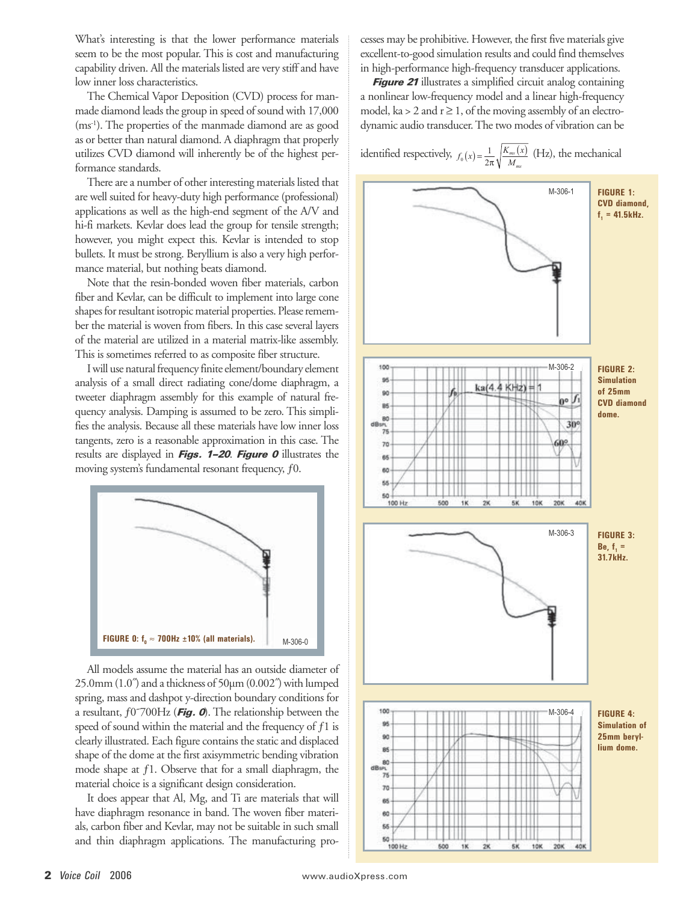What's interesting is that the lower performance materials seem to be the most popular. This is cost and manufacturing capability driven. All the materials listed are very stiff and have low inner loss characteristics.

The Chemical Vapor Deposition (CVD) process for manmade diamond leads the group in speed of sound with 17,000 (ms<sup>-1</sup>). The properties of the manmade diamond are as good as or better than natural diamond. A diaphragm that properly utilizes CVD diamond will inherently be of the highest performance standards.

There are a number of other interesting materials listed that are well suited for heavy-duty high performance (professional) applications as well as the high-end segment of the A/V and hi-fi markets. Kevlar does lead the group for tensile strength; however, you might expect this. Kevlar is intended to stop bullets. It must be strong. Beryllium is also a very high performance material, but nothing beats diamond.

Note that the resin-bonded woven fiber materials, carbon fiber and Kevlar, can be difficult to implement into large cone shapes for resultant isotropic material properties. Please remember the material is woven from fibers. In this case several layers of the material are utilized in a material matrix-like assembly. This is sometimes referred to as composite fiber structure.

I will use natural frequency finite element/boundary element analysis of a small direct radiating cone/dome diaphragm, a tweeter diaphragm assembly for this example of natural frequency analysis. Damping is assumed to be zero. This simplifies the analysis. Because all these materials have low inner loss tangents, zero is a reasonable approximation in this case. The results are displayed in *Figs. 1-20. Figure 0* illustrates the moving system's fundamental resonant frequency, f0.



All models assume the material has an outside diameter of 25.0mm (1.0<sup>"</sup>) and a thickness of 50µm (0.002<sup>"</sup>) with lumped spring, mass and dashpot y-direction boundary conditions for a resultant,  $f0700Hz$  (Fig. 0). The relationship between the speed of sound within the material and the frequency of  $f1$  is clearly illustrated. Each figure contains the static and displaced shape of the dome at the first axisymmetric bending vibration mode shape at  $f1$ . Observe that for a small diaphragm, the material choice is a significant design consideration.

It does appear that Al, Mg, and Ti are materials that will have diaphragm resonance in band. The woven fiber materials, carbon fiber and Kevlar, may not be suitable in such small and thin diaphragm applications. The manufacturing processes may be prohibitive. However, the first five materials give excellent-to-good simulation results and could find themselves in high-performance high-frequency transducer applications.

**Figure 21** illustrates a simplified circuit analog containing a nonlinear low-frequency model and a linear high-frequency model, ka > 2 and  $r \ge 1$ , of the moving assembly of an electrodynamic audio transducer. The two modes of vibration can be

identified respectively,  $f_0(x) = \frac{1}{2\pi} \sqrt{\frac{K_{ms}(x)}{M_{ms}}}$  (Hz), the mechanical

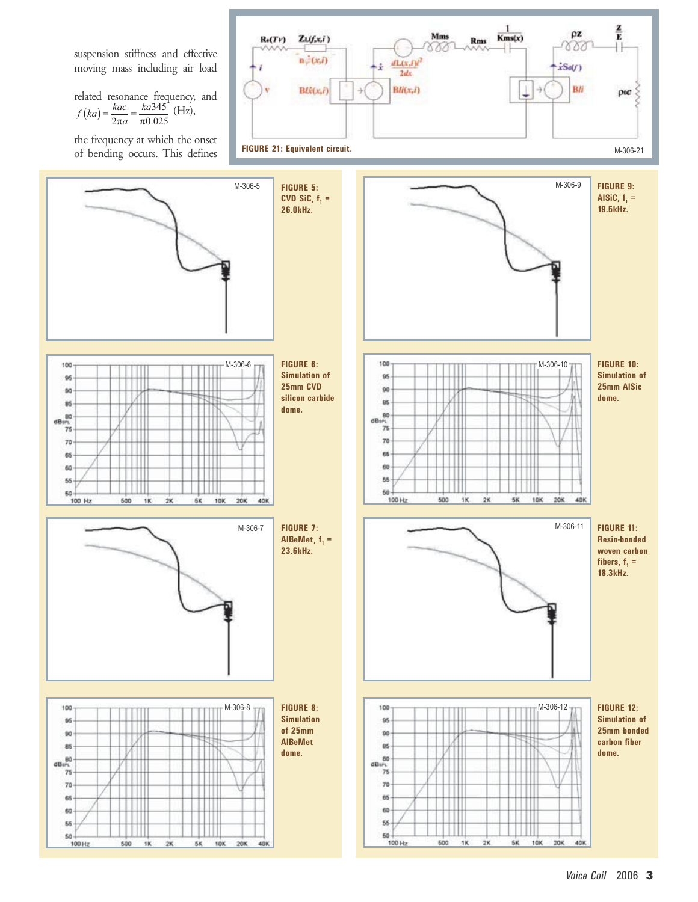SUSPENSION STIFFNESS AND EFFECTIVE MOVING MASS INCLUDING AIR LOAD RELATED RESONANCE FREQUENCY AND *f ka kac ka* <sup>2</sup> 345 (Z  P P0 025 . *a* THEFREQUENCYATWHICHTHEONSET OF BENDING OCCURS 4HIS DEFINES **&)'52%%QUIVALENTCIRCUIT** M-306-21 M-306-9 M-306-5 **&)'52% &)'52% !L3I#F #6\$3I#F K(Z K(Z** M-306-6 **&)'52%** M-306-10 **&)'52% 3IMULATIONOF 3IMULATIONOF MM#6\$ MM!L3IC SILICONCARBIDE DOME DOME** M-306-11 M-306-7 **&)'52% &)'52% !L"E-ETF 2ESIN
BONDED K(Z WOVENCARBON FIBERSF K(Z** M-306-8 **&)'52%** M-306-12**&)'52% 3IMULATION 3IMULATIONOF OFMM MMBONDED !L"E-ET CARBONFIBER DOME DOME** 

60 55

 $\begin{array}{c|c}\n\hline\n & 50 \\
\hline\n & 100 \text{ Hz}\n\end{array}$ 

 $2K$ 

 $6K$  $10K$ 

600  $1K$ 

60

55

 $\frac{50}{100 Hz}$ 

 $500$ 

 $1K$  $28$  . . . .

**SK 10K** 

 $20K$ 

 $40K$ 

 $20K$ 

40K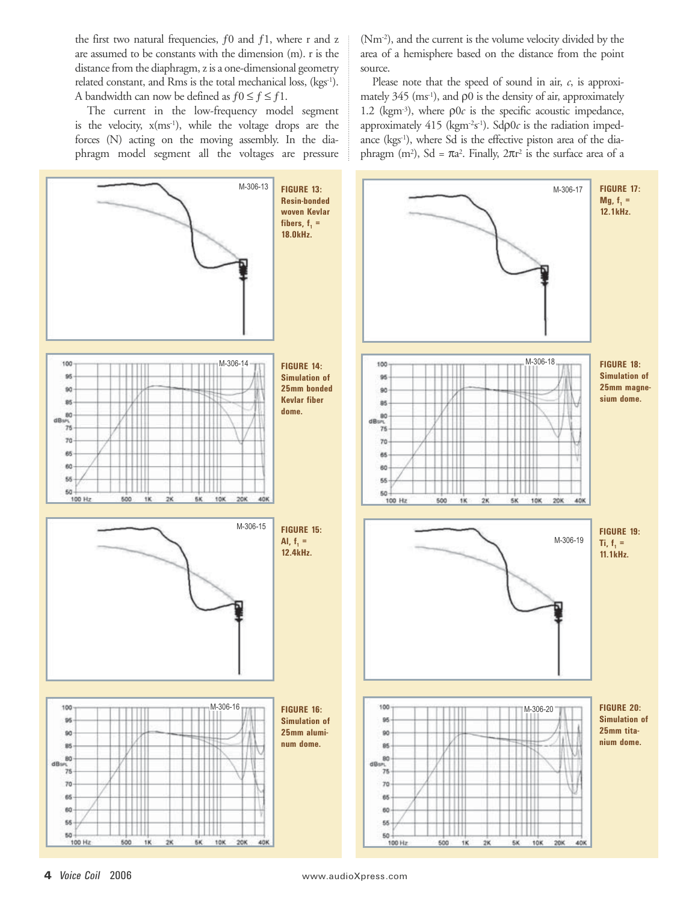the first two natural frequencies,  $f0$  and  $f1$ , where r and z are assumed to be constants with the dimension (m). r is the distance from the diaphragm, z is a one-dimensional geometry related constant, and Rms is the total mechanical loss, (kgs<sup>-1</sup>). A bandwidth can now be defined as  $f0 \le f \le f1$ .

The current in the low-frequency model segment is the velocity, x(ms<sup>-1</sup>), while the voltage drops are the forces (N) acting on the moving assembly. In the diaphragm model segment all the voltages are pressure (Nm<sup>-2</sup>), and the current is the volume velocity divided by the area of a hemisphere based on the distance from the point source.

Please note that the speed of sound in air,  $c$ , is approximately  $345$  (ms<sup>-1</sup>), and  $\rho$ 0 is the density of air, approximately 1.2 (kgm<sup>-3</sup>), where  $\rho 0c$  is the specific acoustic impedance, approximately 415 (kgm<sup>-2</sup>s<sup>-1</sup>). Sdp0c is the radiation impedance (kgs<sup>1</sup>), where Sd is the effective piston area of the diaphragm (m<sup>2</sup>), Sd =  $\pi a^2$ . Finally,  $2\pi r^2$  is the surface area of a